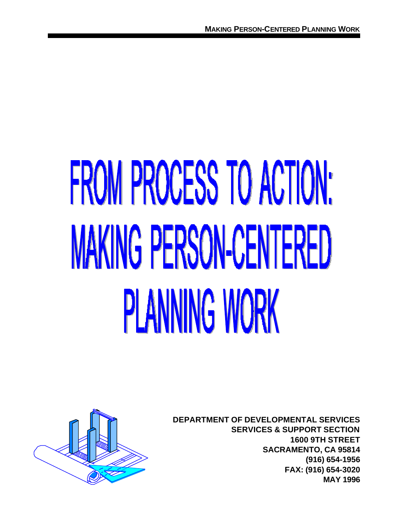# **FROM PROCESS TO ACTION: MAKING PERSON-CENTERED PLANNING WORK**



**DEPARTMENT OF DEVELOPMENTAL SERVICES SERVICES & SUPPORT SECTION 1600 9TH STREET SACRAMENTO, CA 95814 (916) 654-1956 FAX: (916) 654-3020 MAY 1996**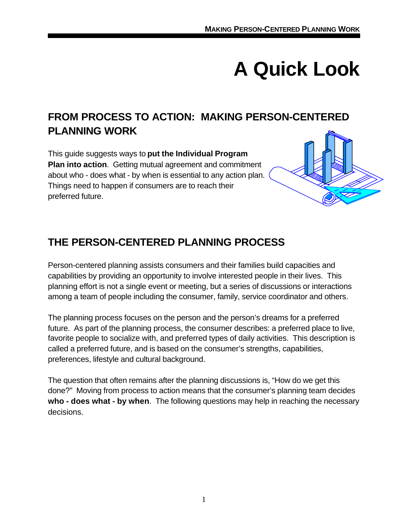# **A Quick Look**

# **FROM PROCESS TO ACTION: MAKING PERSON-CENTERED PLANNING WORK**

This guide suggests ways to **put the Individual Program Plan into action**. Getting mutual agreement and commitment about who - does what - by when is essential to any action plan. Things need to happen if consumers are to reach their preferred future.



# **THE PERSON-CENTERED PLANNING PROCESS**

Person-centered planning assists consumers and their families build capacities and capabilities by providing an opportunity to involve interested people in their lives. This planning effort is not a single event or meeting, but a series of discussions or interactions among a team of people including the consumer, family, service coordinator and others.

The planning process focuses on the person and the person's dreams for a preferred future. As part of the planning process, the consumer describes: a preferred place to live, favorite people to socialize with, and preferred types of daily activities. This description is called a preferred future, and is based on the consumer's strengths, capabilities, preferences, lifestyle and cultural background.

The question that often remains after the planning discussions is, "How do we get this done?" Moving from process to action means that the consumer's planning team decides **who - does what - by when**. The following questions may help in reaching the necessary decisions.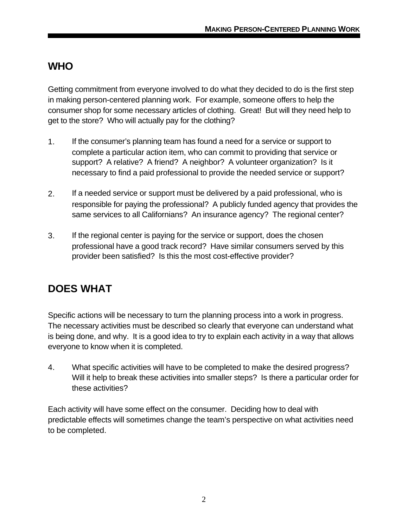#### **WHO**

Getting commitment from everyone involved to do what they decided to do is the first step in making person-centered planning work. For example, someone offers to help the consumer shop for some necessary articles of clothing. Great! But will they need help to get to the store? Who will actually pay for the clothing?

- 1. If the consumer's planning team has found a need for a service or support to complete a particular action item, who can commit to providing that service or support? A relative? A friend? A neighbor? A volunteer organization? Is it necessary to find a paid professional to provide the needed service or support?
- 2. If a needed service or support must be delivered by a paid professional, who is responsible for paying the professional? A publicly funded agency that provides the same services to all Californians? An insurance agency? The regional center?
- 3. If the regional center is paying for the service or support, does the chosen professional have a good track record? Have similar consumers served by this provider been satisfied? Is this the most cost-effective provider?

# **DOES WHAT**

Specific actions will be necessary to turn the planning process into a work in progress. The necessary activities must be described so clearly that everyone can understand what is being done, and why. It is a good idea to try to explain each activity in a way that allows everyone to know when it is completed.

4. What specific activities will have to be completed to make the desired progress? Will it help to break these activities into smaller steps? Is there a particular order for these activities?

Each activity will have some effect on the consumer. Deciding how to deal with predictable effects will sometimes change the team's perspective on what activities need to be completed.